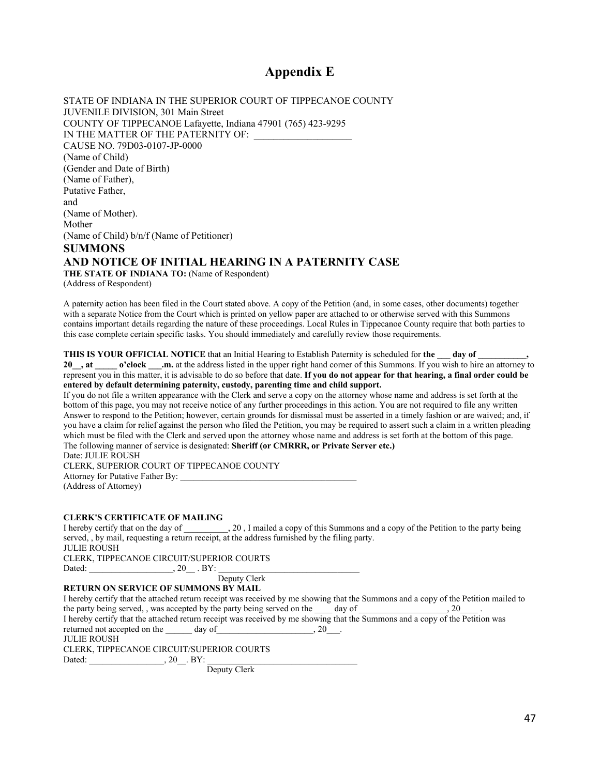# **Appendix E**

STATE OF INDIANA IN THE SUPERIOR COURT OF TIPPECANOE COUNTY JUVENILE DIVISION, 301 Main Street COUNTY OF TIPPECANOE Lafayette, Indiana 47901 (765) 423-9295 IN THE MATTER OF THE PATERNITY OF: CAUSE NO. 79D03-0107-JP-0000 (Name of Child) (Gender and Date of Birth) (Name of Father), Putative Father, and (Name of Mother). Mother (Name of Child) b/n/f (Name of Petitioner) **SUMMONS**

# **AND NOTICE OF INITIAL HEARING IN A PATERNITY CASE**

**THE STATE OF INDIANA TO:** (Name of Respondent)

(Address of Respondent)

A paternity action has been filed in the Court stated above. A copy of the Petition (and, in some cases, other documents) together with a separate Notice from the Court which is printed on yellow paper are attached to or otherwise served with this Summons contains important details regarding the nature of these proceedings. Local Rules in Tippecanoe County require that both parties to this case complete certain specific tasks. You should immediately and carefully review those requirements.

## **THIS IS YOUR OFFICIAL NOTICE** that an Initial Hearing to Establish Paternity is scheduled for **the \_\_\_ day of \_\_\_\_\_\_\_\_\_\_\_,**

20<sub>\_</sub>, at \_\_\_\_\_ o'clock \_\_\_.m. at the address listed in the upper right hand corner of this Summons. If you wish to hire an attorney to represent you in this matter, it is advisable to do so before that date. **If you do not appear for that hearing, a final order could be entered by default determining paternity, custody, parenting time and child support.**

If you do not file a written appearance with the Clerk and serve a copy on the attorney whose name and address is set forth at the bottom of this page, you may not receive notice of any further proceedings in this action. You are not required to file any written Answer to respond to the Petition; however, certain grounds for dismissal must be asserted in a timely fashion or are waived; and, if you have a claim for relief against the person who filed the Petition, you may be required to assert such a claim in a written pleading which must be filed with the Clerk and served upon the attorney whose name and address is set forth at the bottom of this page. The following manner of service is designated: **Sheriff (or CMRRR, or Private Server etc.)** Date: JULIE ROUSH

CLERK, SUPERIOR COURT OF TIPPECANOE COUNTY Attorney for Putative Father By: (Address of Attorney)

#### **CLERK'S CERTIFICATE OF MAILING**

I hereby certify that on the day of \_\_\_\_\_\_\_\_\_\_, 20 , I mailed a copy of this Summons and a copy of the Petition to the party being served, , by mail, requesting a return receipt, at the address furnished by the filing party. JULIE ROUSH

CLERK, TIPPECANOE CIRCUIT/SUPERIOR COURTS Dated: \_\_\_\_\_\_\_\_\_\_\_\_\_\_\_\_\_\_\_, 20\_\_ . BY: \_\_\_\_\_\_\_\_\_\_\_\_\_\_\_\_\_\_\_\_\_\_\_\_\_\_\_\_\_\_\_\_

Deputy Clerk

### **RETURN ON SERVICE OF SUMMONS BY MAIL**

| the party being served,, was accepted by the party being served on the day of |              |  | I hereby certify that the attached return receipt was received by me showing that the Summons and a copy of the Petition mailed to<br>20 |  |
|-------------------------------------------------------------------------------|--------------|--|------------------------------------------------------------------------------------------------------------------------------------------|--|
|                                                                               |              |  |                                                                                                                                          |  |
|                                                                               |              |  | I hereby certify that the attached return receipt was received by me showing that the Summons and a copy of the Petition was             |  |
| returned not accepted on the                                                  | day of       |  |                                                                                                                                          |  |
| JULIE ROUSH                                                                   |              |  |                                                                                                                                          |  |
| CLERK, TIPPECANOE CIRCUIT/SUPERIOR COURTS                                     |              |  |                                                                                                                                          |  |
| Dated:                                                                        | $20$ $-BY$ : |  |                                                                                                                                          |  |
|                                                                               | Deputy Clerk |  |                                                                                                                                          |  |

47